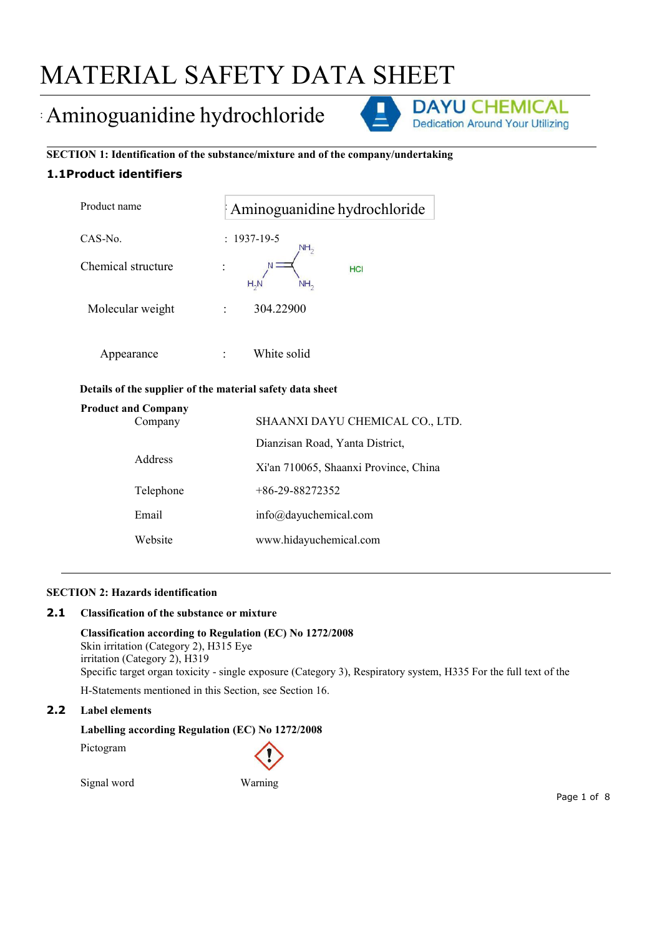# MATERIAL SAFETY DATA SHEET

# : Aminoguanidine hydrochloride DAYU CHEMICAL



**SECTION 1: Identification of the substance/mixture and of the company/undertaking 1.1Product identifiers**

| Product name                               | : Aminoguanidine hydrochloride       |  |
|--------------------------------------------|--------------------------------------|--|
| CAS-No.                                    | $: 1937 - 19 - 5$<br>NH <sub>2</sub> |  |
| Chemical structure<br>$\bullet$<br>$\cdot$ | HCI<br>$H_2N$<br>NH <sub>2</sub>     |  |
| Molecular weight<br>$\ddot{\cdot}$         | 304.22900                            |  |
|                                            |                                      |  |

# **Details ofthe supplier of the material safety data sheet**

Appearance : White solid

|         | <b>Product and Company</b> |                                       |
|---------|----------------------------|---------------------------------------|
| Company |                            | SHAANXI DAYU CHEMICAL CO., LTD.       |
|         |                            | Dianzisan Road, Yanta District,       |
|         | <b>Address</b>             | Xi'an 710065, Shaanxi Province, China |
|         | Telephone                  | $+86-29-88272352$                     |
|         | Email                      | info@dayuchemical.com                 |
|         | Website                    | www.hidayuchemical.com                |

# **SECTION 2: Hazards identification**

## **2.1 Classification of the substance or mixture**

**Classification according to Regulation (EC) No 1272/2008** Skin irritation (Category 2), H315 Eye irritation (Category 2), H319 Specific target organ toxicity - single exposure (Category 3), Respiratory system, H335 For the full text of the

H-Statements mentioned in this Section, see Section 16.

# **2.2 Label elements**

**Labelling according Regulation (EC) No 1272/2008**

Pictogram

Signal word Warning

Page 1 of 8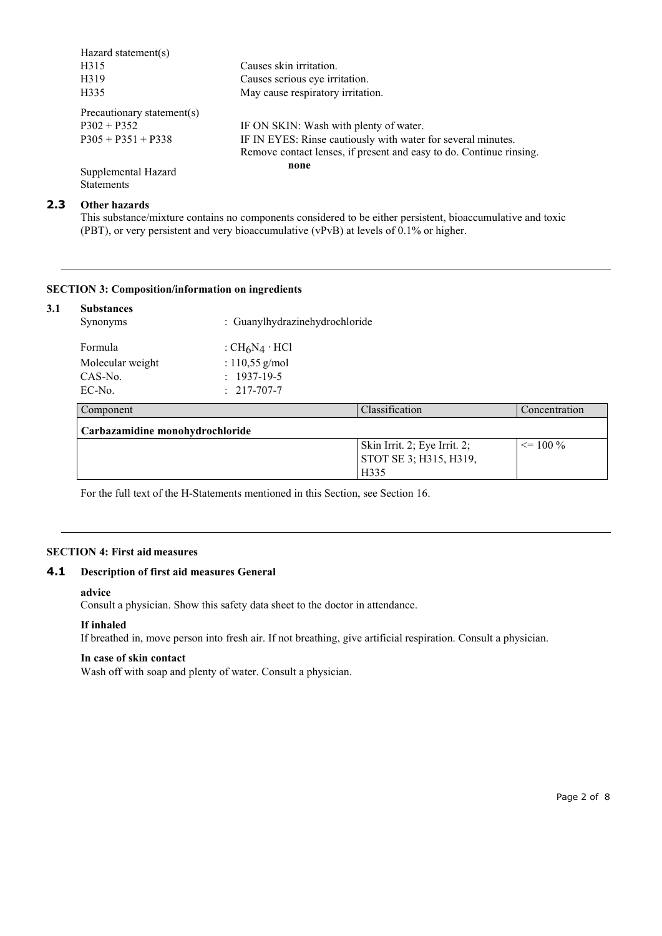| Hazard statement(s)                      |                                                                     |
|------------------------------------------|---------------------------------------------------------------------|
| H315                                     | Causes skin irritation.                                             |
| H319                                     | Causes serious eye irritation.                                      |
| H335                                     | May cause respiratory irritation.                                   |
| Precautionary statement(s)               |                                                                     |
| $P302 + P352$                            | IF ON SKIN: Wash with plenty of water.                              |
| $P305 + P351 + P338$                     | IF IN EYES: Rinse cautiously with water for several minutes.        |
|                                          | Remove contact lenses, if present and easy to do. Continue rinsing. |
| Supplemental Hazard<br><b>Statements</b> | none                                                                |

# **2.3 Other hazards**

This substance/mixture contains no components considered to be either persistent, bioaccumulative and toxic (PBT), or very persistent and very bioaccumulative (vPvB) at levels of  $0.1\%$  or higher.

### **SECTION 3: Composition/information on ingredients**

| <b>Substances</b><br>Synonyms   | : Guanylhydrazinehydrochloride |                              |               |
|---------------------------------|--------------------------------|------------------------------|---------------|
| Formula                         | : $CH_6N_4 \cdot HCl$          |                              |               |
| Molecular weight                | : $110,55$ g/mol               |                              |               |
| CAS-No.                         | $: 1937-19-5$                  |                              |               |
| EC-No.                          | $: 217 - 707 - 7$              |                              |               |
| Component                       |                                | Classification               | Concentration |
| Carbazamidine monohydrochloride |                                |                              |               |
|                                 |                                | Skin Irrit. 2; Eye Irrit. 2; | $\leq$ 100 %  |
|                                 |                                | STOT SE 3; H315, H319,       |               |
|                                 |                                | H335                         |               |

For the full text of the H-Statements mentioned in this Section, see Section 16.

#### **SECTION 4: First aid measures**

# **4.1 Description of first aid measures General**

#### **advice**

Consult a physician. Show this safety data sheet to the doctor in attendance.

#### **If inhaled**

If breathed in, move person into fresh air. If not breathing, give artificial respiration. Consult a physician.

#### **In case of skin contact**

Wash off with soap and plenty of water. Consult a physician.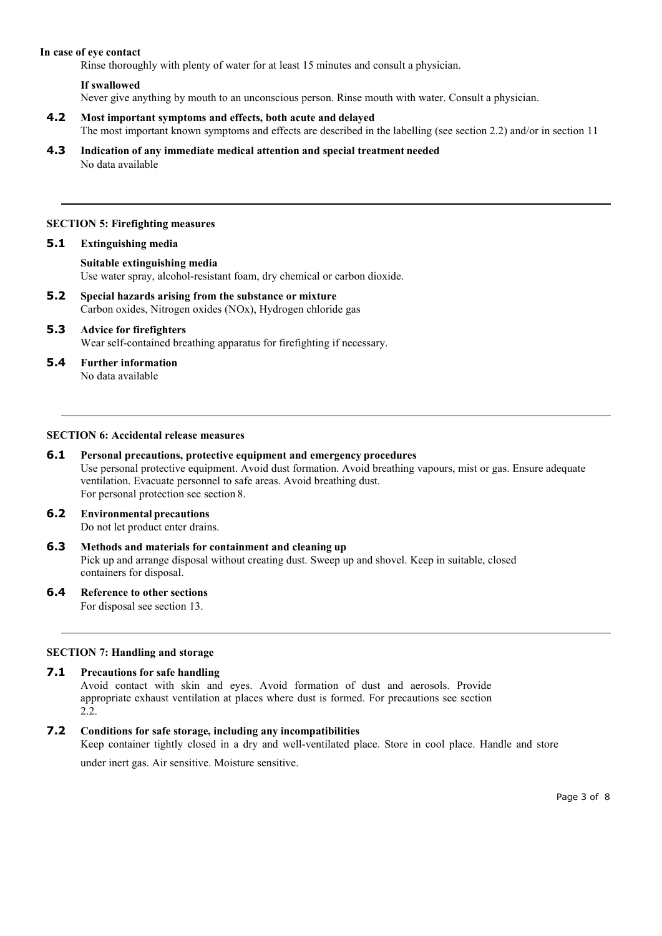#### **In case of eye contact**

Rinse thoroughly with plenty of water for at least 15 minutes and consult a physician.

## **If swallowed**

Never give anything by mouth to an unconscious person. Rinse mouth with water. Consult a physician.

- **4.2 Most important symptoms and effects, both acute and delayed** The most important known symptoms and effects are described in the labelling (see section 2.2) and/or in section 11
- **4.3 Indication of any immediate medical attention and special treatment needed** No data available

#### **SECTION 5: Firefighting measures**

#### **5.1 Extinguishing media**

**Suitable extinguishing media** Use water spray, alcohol-resistant foam, dry chemical or carbon dioxide.

**5.2 Special hazards arising from the substance or mixture** Carbon oxides, Nitrogen oxides (NOx), Hydrogen chloride gas

#### **5.3 Advice for firefighters** Wear self-contained breathing apparatus for firefighting if necessary.

**5.4 Further information**

No data available

# **SECTION 6: Accidental release measures**

- **6.1 Personal precautions, protective equipment and emergency procedures** Use personal protective equipment. Avoid dust formation. Avoid breathing vapours, mist or gas. Ensure adequate ventilation. Evacuate personnel to safe areas. Avoid breathing dust. For personal protection see section 8.
- **6.2 Environmental precautions** Do not let product enter drains.
- **6.3 Methods and materials for containment and cleaning up** Pick up and arrange disposal without creating dust. Sweep up and shovel. Keep in suitable, closed containers for disposal.
- **6.4 Reference to other sections**

For disposal see section 13.

#### **SECTION 7: Handling and storage**

#### **7.1 Precautions for safe handling**

Avoid contact with skin and eyes. Avoid formation of dust and aerosols. Provide appropriate exhaust ventilation at places where dust is formed. For precautions see section 2.2.

#### **7.2 Conditionsfor safe storage,including any incompatibilities**

Keep container tightly closed in a dry and well-ventilated place. Store in cool place. Handle and store

under inert gas. Air sensitive. Moisture sensitive.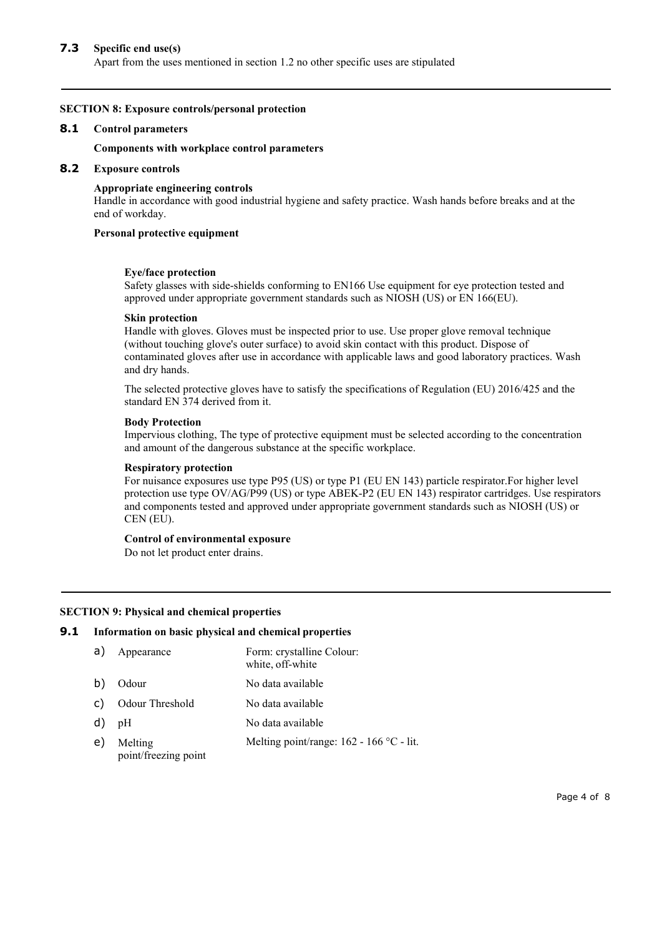# **7.3 Specific end use(s)**

Apart from the uses mentioned in section 1.2 no other specific uses are stipulated

#### **SECTION 8: Exposure controls/personal protection**

#### **8.1 Control parameters**

#### **Components with workplace control parameters**

#### **8.2 Exposure controls**

#### **Appropriate engineering controls**

Handle in accordance with good industrial hygiene and safety practice. Wash hands before breaks and at the end of workday.

#### **Personal protective equipment**

#### **Eye/face protection**

Safety glasses with side-shields conforming to EN166 Use equipment for eye protection tested and approved under appropriate government standards such as NIOSH (US) or EN 166(EU).

#### **Skin protection**

Handle with gloves. Gloves must be inspected prior to use. Use proper glove removal technique (without touching glove's outer surface) to avoid skin contact with this product. Dispose of contaminated gloves after use in accordance with applicable laws and good laboratory practices. Wash and dry hands.

The selected protective gloves have to satisfy the specifications of Regulation (EU) 2016/425 and the standard EN 374 derived from it.

#### **Body Protection**

Impervious clothing, The type of protective equipment must be selected according to the concentration and amount of the dangerous substance at the specific workplace.

#### **Respiratory protection**

For nuisance exposures use type P95 (US) or type P1 (EU EN 143) particle respirator.For higher level protection use type OV/AG/P99 (US) or type ABEK-P2 (EU EN 143) respirator cartridges. Use respirators and components tested and approved under appropriate government standards such as NIOSH (US) or CEN (EU).

#### **Control of environmental exposure**

Do not let product enter drains.

#### **SECTION 9: Physical and chemical properties**

#### **9.1 Information on basic physical and chemical properties**

| a) | Appearance                      | Form: crystalline Colour:<br>white, off-white |
|----|---------------------------------|-----------------------------------------------|
| b) | Odour                           | No data available                             |
| C) | Odour Threshold                 | No data available                             |
| d) | pH                              | No data available                             |
| e) | Melting<br>point/freezing point | Melting point/range: 162 - 166 °C - lit.      |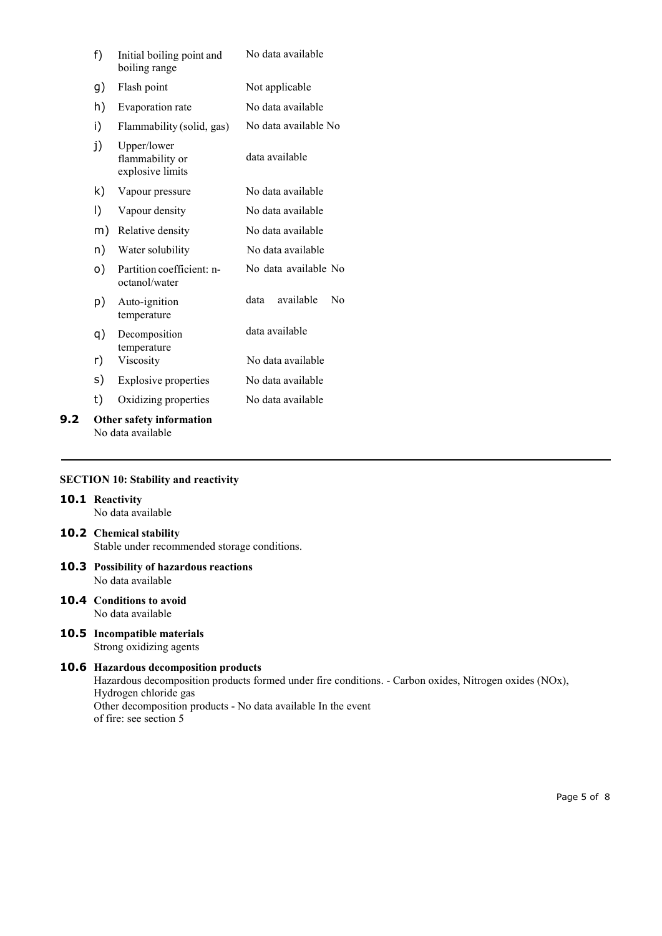|     | f) | Initial boiling point and<br>boiling range         | No data available       |
|-----|----|----------------------------------------------------|-------------------------|
|     | g) | Flash point                                        | Not applicable          |
|     | h) | Evaporation rate                                   | No data available       |
|     | i) | Flammability (solid, gas)                          | No data available No    |
|     | j) | Upper/lower<br>flammability or<br>explosive limits | data available          |
|     | k) | Vapour pressure                                    | No data available       |
|     | I) | Vapour density                                     | No data available       |
|     | m) | Relative density                                   | No data available       |
|     | n) | Water solubility                                   | No data available       |
|     | o) | Partition coefficient: n-<br>octanol/water         | No data available No    |
|     | p) | Auto-ignition<br>temperature                       | available<br>data<br>No |
|     | q) | Decomposition<br>temperature                       | data available          |
|     | r) | Viscosity                                          | No data available       |
|     | s) | <b>Explosive properties</b>                        | No data available       |
|     | t) | Oxidizing properties                               | No data available       |
| 9.2 |    | Other safety information                           |                         |

No data available

# **SECTION 10: Stability and reactivity**

# **10.1 Reactivity**

No data available

# **10.2 Chemical stability**

Stable under recommended storage conditions.

- **10.3 Possibility of hazardous reactions** No data available
- **10.4 Conditions to avoid** No data available
- **10.5 Incompatible materials** Strong oxidizing agents

#### **10.6 Hazardous decomposition products**

Hazardous decomposition products formed under fire conditions. - Carbon oxides, Nitrogen oxides (NOx), Hydrogen chloride gas Other decomposition products - No data available In the event of fire: see section 5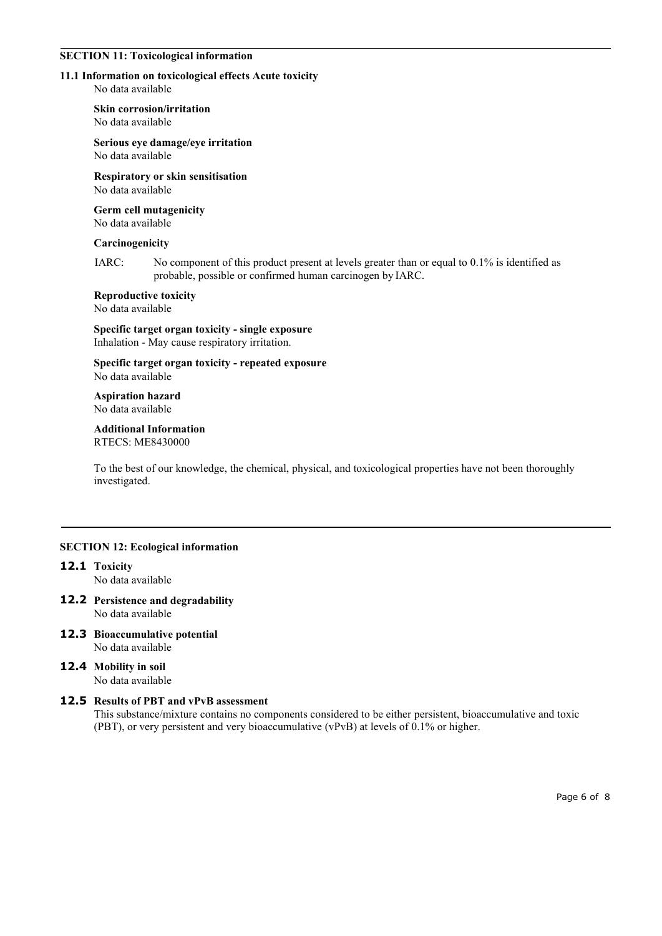#### **SECTION 11: Toxicological information**

#### **11.1 Information on toxicological effects Acute toxicity**

No data available

**Skin corrosion/irritation**

No data available

# **Serious eye damage/eye irritation**

No data available

#### **Respiratory or skin sensitisation** No data available

#### **Germ cell mutagenicity** No data available

# **Carcinogenicity**

IARC: No component of this product present at levels greater than or equal to 0.1% is identified as probable, possible or confirmed human carcinogen by IARC.

# **Reproductive toxicity**

No data available

## **Specific target organ toxicity - single exposure** Inhalation - May cause respiratory irritation.

**Specific target organ toxicity - repeated exposure** No data available

#### **Aspiration hazard** No data available

#### **Additional Information** RTECS: ME8430000

To the best of our knowledge, the chemical, physical, and toxicological properties have not been thoroughly investigated.

# **SECTION 12: Ecological information**

# **12.1 Toxicity**

No data available

- **12.2 Persistence and degradability** No data available
- **12.3 Bioaccumulative potential** No data available
- **12.4 Mobility in soil** No data available

# **12.5 Results ofPBT and vPvB assessment**

This substance/mixture contains no components considered to be either persistent, bioaccumulative and toxic (PBT), or very persistent and very bioaccumulative (vPvB) at levels of  $0.1\%$  or higher.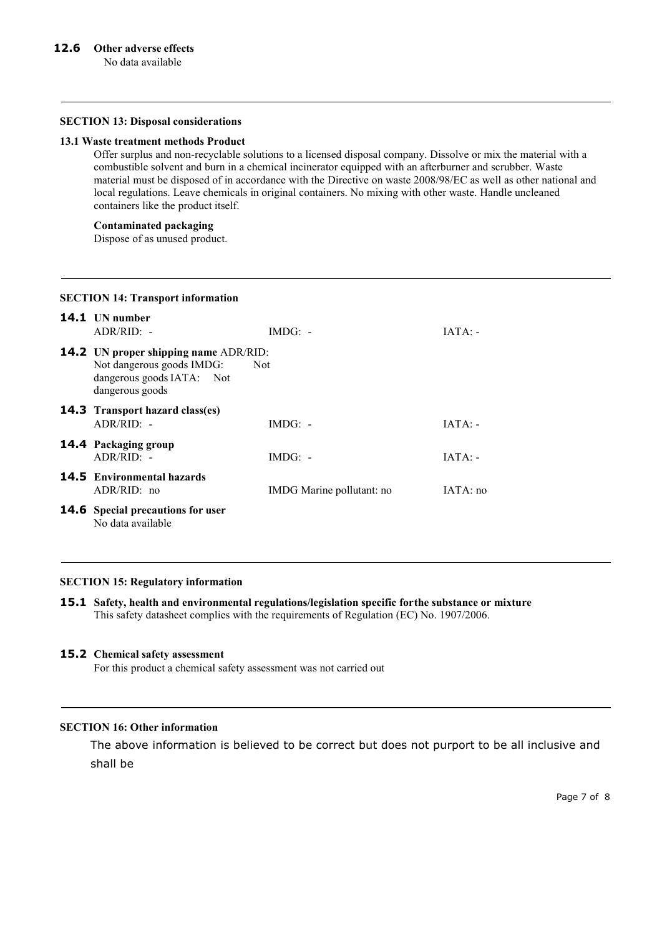#### **SECTION 13: Disposal considerations**

#### **13.1 Waste treatment methods Product**

Offer surplus and non-recyclable solutions to a licensed disposal company. Dissolve or mix the material with a combustible solventand burn in a chemical incinerator equipped with an afterburner and scrubber. Waste material must be disposed of in accordance with the Directive on waste 2008/98/EC as well as other national and local regulations. Leave chemicals in original containers. No mixing with other waste. Handle uncleaned containers like the product itself.

# **Contaminated packaging**

Dispose of as unused product.

# **14.1 UN number** ADR/RID: - IMDG: - IMDG: - IATA: -**14.2 UN proper shipping name** ADR/RID: Not dangerous goods IMDG: Not dangerous goods IATA: Not dangerous goods **14.3 Transport hazard class(es)** ADR/RID: - IMDG: - IMDG: - IATA: -**14.4 Packaging group** ADR/RID: - IMDG: - IMDG: - IATA: -**14.5 Environmental hazards** ADR/RID: no IMDG Marine pollutant: no IATA: no **14.6 Special precautions for user** No data available

#### **SECTION 14: Transport information**

#### **SECTION 15: Regulatory information**

**15.1 Safety, health and environmental regulations/legislation specific forthe substance or mixture** This safety datasheet complies with the requirements of Regulation (EC) No. 1907/2006.

#### **15.2 Chemical safety assessment**

For this product a chemical safety assessment was not carried out

# **SECTION 16: Other information**

The above information is believed to be correct but does not purport to be all inclusive and shall be